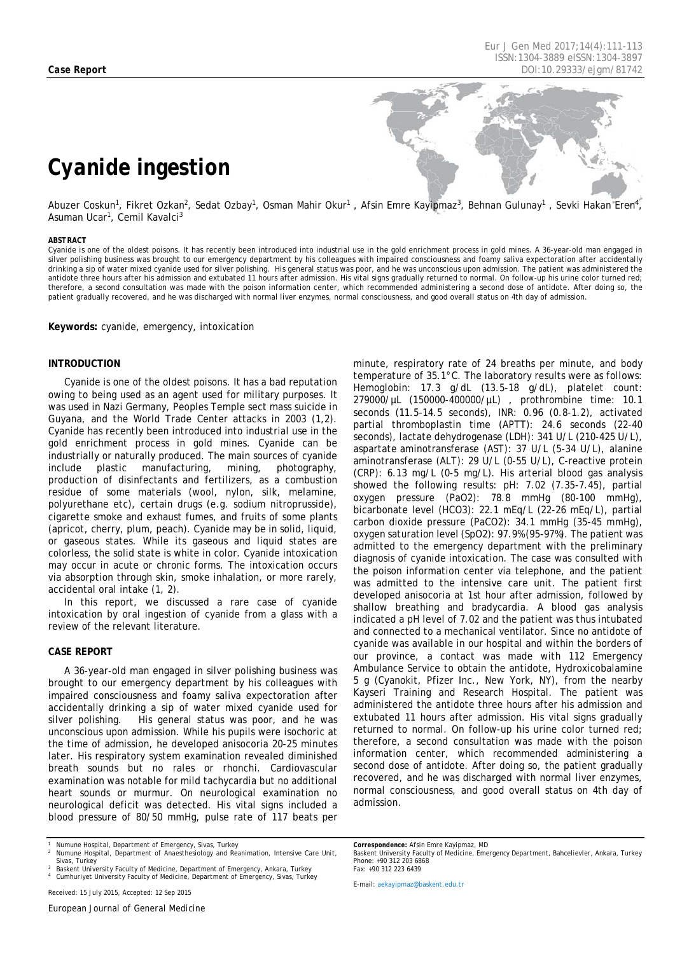# *Cyanide ingestion*

Abuzer Coskun<sup>1</sup>, Fikret Ozkan<sup>2</sup>, Sedat Ozbay<sup>1</sup>, Osman Mahir Okur<sup>1</sup>, Afsin Emre Kayipmaz<sup>3</sup>, Behnan Gulunay<sup>1</sup>, Sevki Hakan Eren<sup>4</sup>, Asuman Ucar<sup>1</sup>, Cemil Kavalci<sup>3</sup>

#### <span id="page-0-0"></span>*ABSTRACT*

Cyanide is one of the oldest poisons. It has recently been introduced into industrial use in the gold enrichment process in gold mines. A 36-year-old man engaged in silver polishing business was brought to our emergency department by his colleagues with impaired consciousness and foamy saliva expectoration after accidentally drinking a sip of water mixed cyanide used for silver polishing. His general status was poor, and he was unconscious upon admission. The patient was administered the antidote three hours after his admission and extubated 11 hours after admission. His vital signs gradually returned to normal. On follow-up his urine color turned red; therefore, a second consultation was made with the poison information center, which recommended administering a second dose of antidote. After doing so, the patient gradually recovered, and he was discharged with normal liver enzymes, normal consciousness, and good overall status on 4th day of admission.

**Keywords:** cyanide, emergency, intoxication

#### **INTRODUCTION**

Cyanide is one of the oldest poisons. It has a bad reputation owing to being used as an agent used for military purposes. It was used in Nazi Germany, Peoples Temple sect mass suicide in Guyana, and the World Trade Center attacks in 2003 (1,2). Cyanide has recently been introduced into industrial use in the gold enrichment process in gold mines. Cyanide can be industrially or naturally produced. The main sources of cyanide<br>include plastic manufacturing, mining, photography, include plastic manufacturing, mining, photography, production of disinfectants and fertilizers, as a combustion residue of some materials (wool, nylon, silk, melamine, polyurethane etc), certain drugs (e.g. sodium nitroprusside), cigarette smoke and exhaust fumes, and fruits of some plants (apricot, cherry, plum, peach). Cyanide may be in solid, liquid, or gaseous states. While its gaseous and liquid states are colorless, the solid state is white in color. Cyanide intoxication may occur in acute or chronic forms. The intoxication occurs via absorption through skin, smoke inhalation, or more rarely, accidental oral intake (1, 2).

In this report, we discussed a rare case of cyanide intoxication by oral ingestion of cyanide from a glass with a review of the relevant literature.

### **CASE REPORT**

A 36-year-old man engaged in silver polishing business was brought to our emergency department by his colleagues with impaired consciousness and foamy saliva expectoration after accidentally drinking a sip of water mixed cyanide used for silver polishing. His general status was poor, and he was unconscious upon admission. While his pupils were isochoric at the time of admission, he developed anisocoria 20-25 minutes later. His respiratory system examination revealed diminished breath sounds but no rales or rhonchi. Cardiovascular examination was notable for mild tachycardia but no additional heart sounds or murmur. On neurological examination no neurological deficit was detected. His vital signs included a blood pressure of 80/50 mmHg, pulse rate of 117 beats per

*Received: 15 July 2015, Accepted: 12 Sep 2015*

minute, respiratory rate of 24 breaths per minute, and body temperature of 35.1°C. The laboratory results were as follows: Hemoglobin: 17.3 g/dL (13.5-18 g/dL), platelet count: 279000/µL (150000-400000/µL) , prothrombine time: 10.1 seconds (11.5-14.5 seconds), INR: 0.96 (0.8-1.2), activated partial thromboplastin time (APTT): 24.6 seconds (22-40 seconds), lactate dehydrogenase (LDH): 341 U/L (210-425 U/L), aspartate aminotransferase (AST): 37 U/L (5-34 U/L), alanine aminotransferase (ALT): 29 U/L (0-55 U/L), C-reactive protein (CRP): 6.13 mg/L (0-5 mg/L). His arterial blood gas analysis showed the following results: pH: 7.02 (7.35-7.45), partial oxygen pressure (PaO2): 78.8 mmHg (80-100 mmHg), bicarbonate level (HCO3): 22.1 mEq/L (22-26 mEq/L), partial carbon dioxide pressure (PaCO2): 34.1 mmHg (35-45 mmHg), oxygen saturation level (SpO2): 97.9% (95-97%). The patient was admitted to the emergency department with the preliminary diagnosis of cyanide intoxication. The case was consulted with the poison information center via telephone, and the patient was admitted to the intensive care unit. The patient first developed anisocoria at 1st hour after admission, followed by shallow breathing and bradycardia. A blood gas analysis indicated a pH level of 7.02 and the patient was thus intubated and connected to a mechanical ventilator. Since no antidote of cyanide was available in our hospital and within the borders of our province, a contact was made with 112 Emergency Ambulance Service to obtain the antidote, Hydroxicobalamine 5 g (Cyanokit, Pfizer Inc., New York, NY), from the nearby Kayseri Training and Research Hospital. The patient was administered the antidote three hours after his admission and extubated 11 hours after admission. His vital signs gradually returned to normal. On follow-up his urine color turned red; therefore, a second consultation was made with the poison information center, which recommended administering a second dose of antidote. After doing so, the patient gradually recovered, and he was discharged with normal liver enzymes, normal consciousness, and good overall status on 4th day of admission.

*E-mail[: aekayipmaz@baskent.edu.tr](mailto:aekayipmaz@baskent.edu.tr)*

*<sup>1</sup> Numune Hospital, Department of Emergency, Sivas, Turkey <sup>2</sup> Numune Hospital, Department of Anaesthesiology and Reanimation, Intensive Care Unit,* 

*Sivas, Turkey*

*<sup>3</sup> Baskent University Faculty of Medicine, Department of Emergency, Ankara, Turkey <sup>4</sup> Cumhuriyet University Faculty of Medicine, Department of Emergency, Sivas, Turkey*

*Correspondence: Afsin Emre Kayipmaz, MD Baskent University Faculty of Medicine, Emergency Department, Bahcelievler, Ankara, Turkey Phone: +90 312 203 6868 Fax: +90 312 223 6439*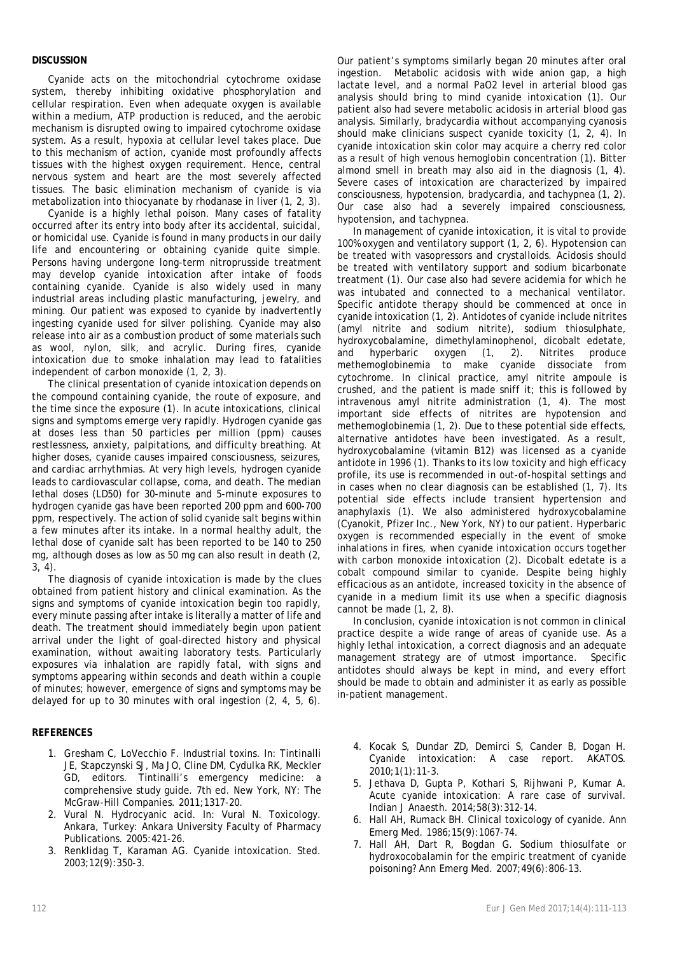### **DISCUSSION**

Cyanide acts on the mitochondrial cytochrome oxidase system, thereby inhibiting oxidative phosphorylation and cellular respiration. Even when adequate oxygen is available within a medium, ATP production is reduced, and the aerobic mechanism is disrupted owing to impaired cytochrome oxidase system. As a result, hypoxia at cellular level takes place. Due to this mechanism of action, cyanide most profoundly affects tissues with the highest oxygen requirement. Hence, central nervous system and heart are the most severely affected tissues. The basic elimination mechanism of cyanide is via metabolization into thiocyanate by rhodanase in liver (1, 2, 3).

Cyanide is a highly lethal poison. Many cases of fatality occurred after its entry into body after its accidental, suicidal, or homicidal use. Cyanide is found in many products in our daily life and encountering or obtaining cyanide quite simple. Persons having undergone long-term nitroprusside treatment may develop cyanide intoxication after intake of foods containing cyanide. Cyanide is also widely used in many industrial areas including plastic manufacturing, jewelry, and mining. Our patient was exposed to cyanide by inadvertently ingesting cyanide used for silver polishing. Cyanide may also release into air as a combustion product of some materials such as wool, nylon, silk, and acrylic. During fires, cyanide intoxication due to smoke inhalation may lead to fatalities independent of carbon monoxide (1, 2, 3).

The clinical presentation of cyanide intoxication depends on the compound containing cyanide, the route of exposure, and the time since the exposure (1). In acute intoxications, clinical signs and symptoms emerge very rapidly. Hydrogen cyanide gas at doses less than 50 particles per million (ppm) causes restlessness, anxiety, palpitations, and difficulty breathing. At higher doses, cyanide causes impaired consciousness, seizures, and cardiac arrhythmias. At very high levels, hydrogen cyanide leads to cardiovascular collapse, coma, and death. The median lethal doses (LD50) for 30-minute and 5-minute exposures to hydrogen cyanide gas have been reported 200 ppm and 600-700 ppm, respectively. The action of solid cyanide salt begins within a few minutes after its intake. In a normal healthy adult, the lethal dose of cyanide salt has been reported to be 140 to 250 mg, although doses as low as 50 mg can also result in death (2, 3, 4).

The diagnosis of cyanide intoxication is made by the clues obtained from patient history and clinical examination. As the signs and symptoms of cyanide intoxication begin too rapidly, every minute passing after intake is literally a matter of life and death. The treatment should immediately begin upon patient arrival under the light of goal-directed history and physical examination, without awaiting laboratory tests. Particularly exposures via inhalation are rapidly fatal, with signs and symptoms appearing within seconds and death within a couple of minutes; however, emergence of signs and symptoms may be delayed for up to 30 minutes with oral ingestion (2, 4, 5, 6).

### **REFERENCES**

- 1. Gresham C, LoVecchio F. Industrial toxins. In: Tintinalli JE, Stapczynski SJ, Ma JO, Cline DM, Cydulka RK, Meckler GD, editors. Tintinalli's emergency medicine: a comprehensive study guide. 7th ed. New York, NY: The McGraw-Hill Companies. 2011;1317-20.
- 2. Vural N. Hydrocyanic acid. In: Vural N. Toxicology. Ankara, Turkey: Ankara University Faculty of Pharmacy Publications. 2005:421-26.
- 3. Renklidag T, Karaman AG. Cyanide intoxication. Sted. 2003;12(9):350-3.

Our patient's symptoms similarly began 20 minutes after oral ingestion. Metabolic acidosis with wide anion gap, a high lactate level, and a normal PaO2 level in arterial blood gas analysis should bring to mind cyanide intoxication (1). Our patient also had severe metabolic acidosis in arterial blood gas analysis. Similarly, bradycardia without accompanying cyanosis should make clinicians suspect cyanide toxicity (1, 2, 4). In cyanide intoxication skin color may acquire a cherry red color as a result of high venous hemoglobin concentration (1). Bitter almond smell in breath may also aid in the diagnosis (1, 4). Severe cases of intoxication are characterized by impaired consciousness, hypotension, bradycardia, and tachypnea (1, 2). Our case also had a severely impaired consciousness, hypotension, and tachypnea.

In management of cyanide intoxication, it is vital to provide 100% oxygen and ventilatory support (1, 2, 6). Hypotension can be treated with vasopressors and crystalloids. Acidosis should be treated with ventilatory support and sodium bicarbonate treatment (1). Our case also had severe acidemia for which he was intubated and connected to a mechanical ventilator. Specific antidote therapy should be commenced at once in cyanide intoxication (1, 2). Antidotes of cyanide include nitrites (amyl nitrite and sodium nitrite), sodium thiosulphate, hydroxycobalamine, dimethylaminophenol, dicobalt edetate, and hyperbaric oxygen (1, 2). Nitrites produce methemoglobinemia to make cyanide dissociate from cytochrome. In clinical practice, amyl nitrite ampoule is crushed, and the patient is made sniff it; this is followed by intravenous amyl nitrite administration (1, 4). The most important side effects of nitrites are hypotension and methemoglobinemia (1, 2). Due to these potential side effects, alternative antidotes have been investigated. As a result, hydroxycobalamine (vitamin B12) was licensed as a cyanide antidote in 1996 (1). Thanks to its low toxicity and high efficacy profile, its use is recommended in out-of-hospital settings and in cases when no clear diagnosis can be established (1, 7). Its potential side effects include transient hypertension and anaphylaxis (1). We also administered hydroxycobalamine (Cyanokit, Pfizer Inc., New York, NY) to our patient. Hyperbaric oxygen is recommended especially in the event of smoke inhalations in fires, when cyanide intoxication occurs together with carbon monoxide intoxication (2). Dicobalt edetate is a cobalt compound similar to cyanide. Despite being highly efficacious as an antidote, increased toxicity in the absence of cyanide in a medium limit its use when a specific diagnosis cannot be made (1, 2, 8).

In conclusion, cyanide intoxication is not common in clinical practice despite a wide range of areas of cyanide use. As a highly lethal intoxication, a correct diagnosis and an adequate management strategy are of utmost importance. Specific antidotes should always be kept in mind, and every effort should be made to obtain and administer it as early as possible in-patient management.

- 4. Kocak S, Dundar ZD, Demirci S, Cander B, Dogan H. Cyanide intoxication: A case report. AKATOS. 2010;1(1):11-3.
- 5. Jethava D, Gupta P, Kothari S, Rijhwani P, Kumar A. Acute cyanide intoxication: A rare case of survival. Indian J Anaesth. 2014;58(3):312-14.
- 6. Hall AH, Rumack BH. Clinical toxicology of cyanide. Ann Emerg Med. 1986;15(9):1067-74.
- 7. Hall AH, Dart R, Bogdan G. Sodium thiosulfate or hydroxocobalamin for the empiric treatment of cyanide poisoning? Ann Emerg Med. 2007;49(6):806-13.